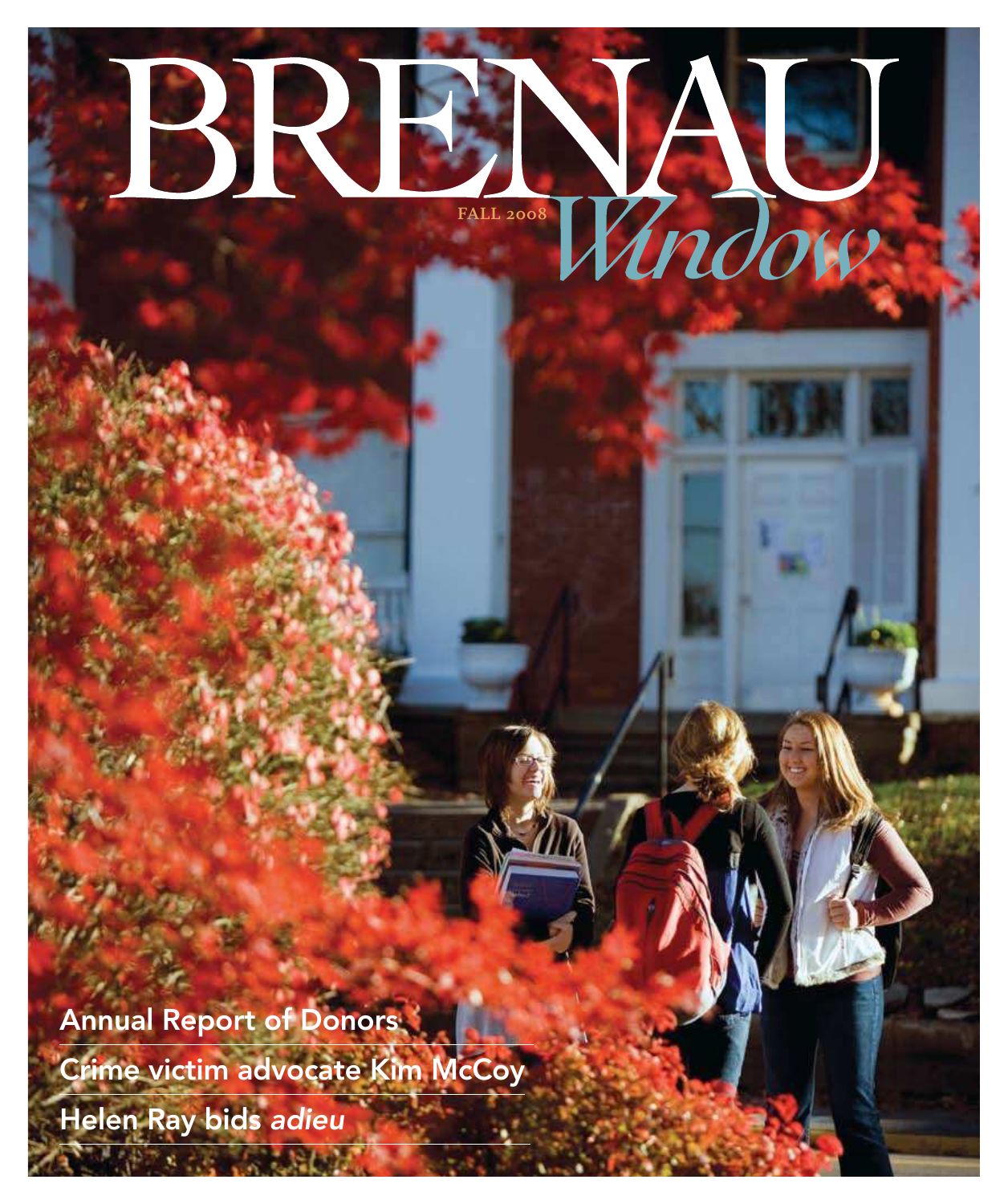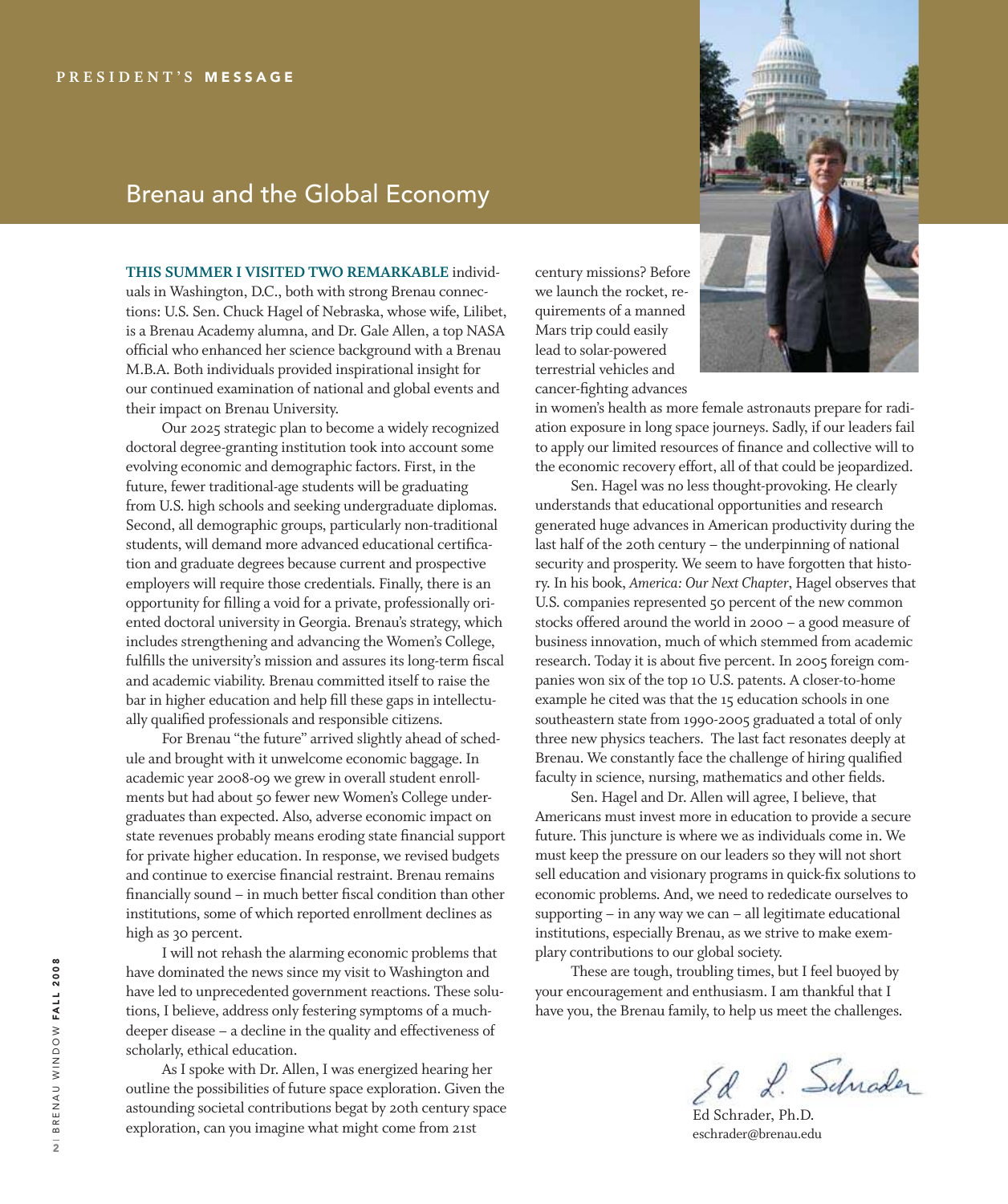### Brenau and the Global Economy

**This summer i visiTed Two remArkAbLe** individuals in Washington, D.C., both with strong Brenau connections: U.S. Sen. Chuck Hagel of Nebraska, whose wife, Lilibet, is a Brenau Academy alumna, and Dr. Gale Allen, a top NASA oficial who enhanced her science background with a Brenau M.B.A. Both individuals provided inspirational insight for our continued examination of national and global events and their impact on Brenau University.

 Our 2025 strategic plan to become a widely recognized doctoral degree-granting institution took into account some evolving economic and demographic factors. First, in the future, fewer traditional-age students will be graduating from U.S. high schools and seeking undergraduate diplomas. Second, all demographic groups, particularly non-traditional students, will demand more advanced educational certification and graduate degrees because current and prospective employers will require those credentials. Finally, there is an opportunity for illing a void for a private, professionally oriented doctoral university in Georgia. Brenau's strategy, which includes strengthening and advancing the Women's College, fulfills the university's mission and assures its long-term fiscal and academic viability. Brenau committed itself to raise the bar in higher education and help fill these gaps in intellectually qualified professionals and responsible citizens.

 For Brenau "the future" arrived slightly ahead of schedule and brought with it unwelcome economic baggage. In academic year 2008-09 we grew in overall student enrollments but had about 50 fewer new Women's College undergraduates than expected. Also, adverse economic impact on state revenues probably means eroding state financial support for private higher education. In response, we revised budgets and continue to exercise financial restraint. Brenau remains financially sound – in much better fiscal condition than other institutions, some of which reported enrollment declines as high as 30 percent.

 I will not rehash the alarming economic problems that have dominated the news since my visit to Washington and have led to unprecedented government reactions. These solutions, I believe, address only festering symptoms of a muchdeeper disease – a decline in the quality and effectiveness of scholarly, ethical education.

 As I spoke with Dr. Allen, I was energized hearing her outline the possibilities of future space exploration. Given the astounding societal contributions begat by 20th century space exploration, can you imagine what might come from 21st

century missions? Before we launch the rocket, requirements of a manned Mars trip could easily lead to solar-powered terrestrial vehicles and cancer-fighting advances



in women's health as more female astronauts prepare for radiation exposure in long space journeys. Sadly, if our leaders fail to apply our limited resources of finance and collective will to the economic recovery effort, all of that could be jeopardized.

 Sen. Hagel was no less thought-provoking. He clearly understands that educational opportunities and research generated huge advances in American productivity during the last half of the 20th century – the underpinning of national security and prosperity. We seem to have forgotten that history. In his book, *America: Our Next Chapter*, Hagel observes that U.S. companies represented 50 percent of the new common stocks offered around the world in 2000 – a good measure of business innovation, much of which stemmed from academic research. Today it is about five percent. In 2005 foreign companies won six of the top 10 U.S. patents. A closer-to-home example he cited was that the 15 education schools in one southeastern state from 1990-2005 graduated a total of only three new physics teachers. The last fact resonates deeply at Brenau. We constantly face the challenge of hiring qualified faculty in science, nursing, mathematics and other fields.

 Sen. Hagel and Dr. Allen will agree, I believe, that Americans must invest more in education to provide a secure future. This juncture is where we as individuals come in. We must keep the pressure on our leaders so they will not short sell education and visionary programs in quick-fix solutions to economic problems. And, we need to rededicate ourselves to supporting – in any way we can – all legitimate educational institutions, especially Brenau, as we strive to make exemplary contributions to our global society.

 These are tough, troubling times, but I feel buoyed by your encouragement and enthusiasm. I am thankful that I have you, the Brenau family, to help us meet the challenges.

Ed L. Schrader

Ed Schrader, Ph.D. eschrader@brenau.edu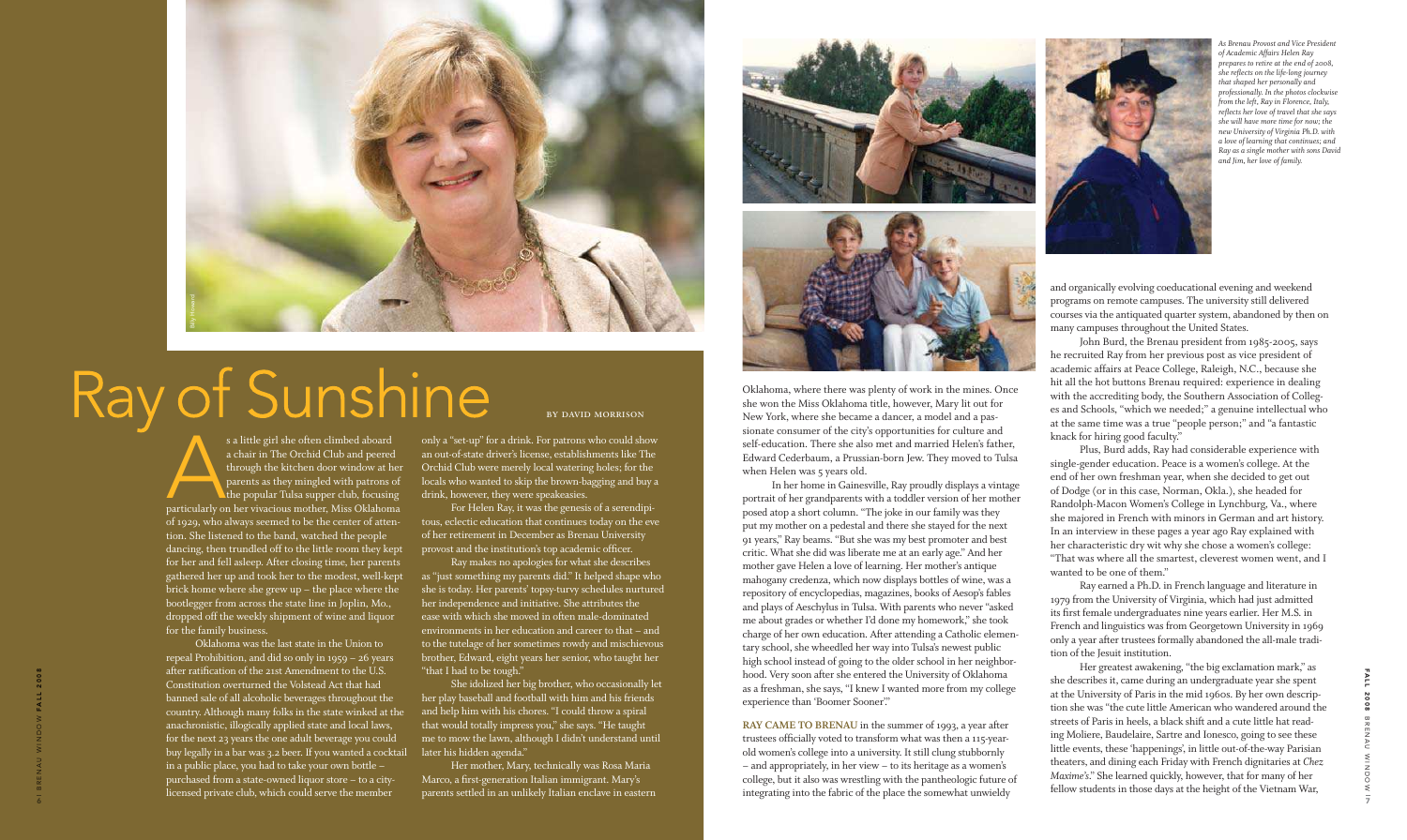Oklahoma, where there was plenty of work in the mines. Once she won the Miss Oklahoma title, however, Mary lit out for New York, where she became a dancer, a model and a passionate consumer of the city's opportunities for culture and self-education. There she also met and married Helen's father, Edward Cederbaum, a Prussian-born Jew. They moved to Tulsa when Helen was 5 years old.

RAY CAME TO BRENAU in the summer of 1993, a year after trustees oficially voted to transform what was then a 115-yearold women's college into a university. It still clung stubbornly – and appropriately, in her view – to its heritage as a women's college, but it also was wrestling with the pantheologic future of integrating into the fabric of the place the somewhat unwieldy

 In her home in Gainesville, Ray proudly displays a vintage portrait of her grandparents with a toddler version of her mother posed atop a short column. "The joke in our family was they put my mother on a pedestal and there she stayed for the next 91 years," Ray beams. "But she was my best promoter and best critic. What she did was liberate me at an early age." And her mother gave Helen a love of learning. Her mother's antique mahogany credenza, which now displays bottles of wine, was a repository of encyclopedias, magazines, books of Aesop's fables and plays of Aeschylus in Tulsa. With parents who never "asked me about grades or whether I'd done my homework," she took charge of her own education. After attending a Catholic elemen tary school, she wheedled her way into Tulsa's newest public high school instead of going to the older school in her neighbor hood. Very soon after she entered the University of Oklahoma as a freshman, she says, "I knew I wanted more from my college experience than 'Boomer Sooner'."

and organically evolving coeducational evening and weekend programs on remote campuses. The university still delivered courses via the antiquated quarter system, abandoned by then on many campuses throughout the United States.

 John Burd, the Brenau president from 1985-2005, says he recruited Ray from her previous post as vice president of academic affairs at Peace College, Raleigh, N.C., because she hit all the hot buttons Brenau required: experience in dealing with the accrediting body, the Southern Association of Colleges and Schools, "which we needed;" a genuine intellectual who at the same time was a true "people person;" and "a fantastic knack for hiring good faculty."

s a little girl she often climbed aboard<br>a chair in The Orchid Club and peered<br>through the kitchen door window at her<br>parents as they mingled with patrons of<br>the popular Tulsa supper club, focusing<br>particularly on her viva s a little girl she often climbed aboard a chair in The Orchid Club and peered through the kitchen door window at her parents as they mingled with patrons of the popular Tulsa supper club, focusing of 1929, who always seemed to be the center of attention. She listened to the band, watched the people dancing, then trundled off to the little room they kept for her and fell asleep. After closing time, her parents gathered her up and took her to the modest, well-kept brick home where she grew up – the place where the bootlegger from across the state line in Joplin, Mo., dropped off the weekly shipment of wine and liquor for the family business.

 Plus, Burd adds, Ray had considerable experience with single-gender education. Peace is a women's college. At the end of her own freshman year, when she decided to get out of Dodge (or in this case, Norman, Okla.), she headed for Randolph-Macon Women's College in Lynchburg, Va., where she majored in French with minors in German and art history. In an interview in these pages a year ago Ray explained with her characteristic dry wit why she chose a women's college: "That was where all the smartest, cleverest women went, and I wanted to be one of them."

 Ray earned a Ph.D. in French language and literature in 1979 from the University of Virginia, which had just admitted its first female undergraduates nine years earlier. Her M.S. in French and linguistics was from Georgetown University in 1969 only a year after trustees formally abandoned the all-male tradi tion of the Jesuit institution.

 Her greatest awakening, "the big exclamation mark," as she describes it, came during an undergraduate year she spent at the University of Paris in the mid 1960s. By her own descrip tion she was "the cute little American who wandered around the streets of Paris in heels, a black shift and a cute little hat read ing Moliere, Baudelaire, Sartre and Ionesco, going to see these little events, these 'happenings', in little out-of-the-way Parisian theaters, and dining each Friday with French dignitaries at *Chez Maxime's*." She learned quickly, however, that for many of her fellow students in those days at the height of the Vietnam War,

 Oklahoma was the last state in the Union to repeal Prohibition, and did so only in 1959 – 26 years after ratification of the 21st Amendment to the U.S. Constitution overturned the Volstead Act that had banned sale of all alcoholic beverages throughout the country. Although many folks in the state winked at the anachronistic, illogically applied state and local laws, for the next 23 years the one adult beverage you could buy legally in a bar was 3.2 beer. If you wanted a cocktail in a public place, you had to take your own bottle – purchased from a state-owned liquor store – to a citylicensed private club, which could serve the member

only a "set-up" for a drink. For patrons who could show an out-of-state driver's license, establishments like The Orchid Club were merely local watering holes; for the locals who wanted to skip the brown-bagging and buy a drink, however, they were speakeasies.

 For Helen Ray, it was the genesis of a serendipi tous, eclectic education that continues today on the eve of her retirement in December as Brenau University provost and the institution's top academic oficer.

 Ray makes no apologies for what she describes as "just something my parents did." It helped shape who she is today. Her parents' topsy-turvy schedules nurtured her independence and initiative. She attributes the ease with which she moved in often male-dominated environments in her education and career to that – and to the tutelage of her sometimes rowdy and mischievous brother, Edward, eight years her senior, who taught her "that I had to be tough."

 She idolized her big brother, who occasionally let her play baseball and football with him and his friends and help him with his chores. "I could throw a spiral that would totally impress you," she says. "He taught me to mow the lawn, although I didn't understand until later his hidden agenda."

 Her mother, Mary, technically was Rosa Maria Marco, a first-generation Italian immigrant. Mary's parents settled in an unlikely Italian enclave in eastern



*As Brenau Provost and Vice President of Academic Affairs Helen Ray prepares to retire at the end of 2008, she relects on the life-long journey that shaped her personally and professionally. In the photos clockwise from the left, Ray in Florence, Italy, relects her love of travel that she says she will have more time for now; the new University of Virginia Ph.D. with a love of learning that continues; and Ray as a single mother with sons David and Jim, her love of family.*

by David Morrison



# Ray of Sunshine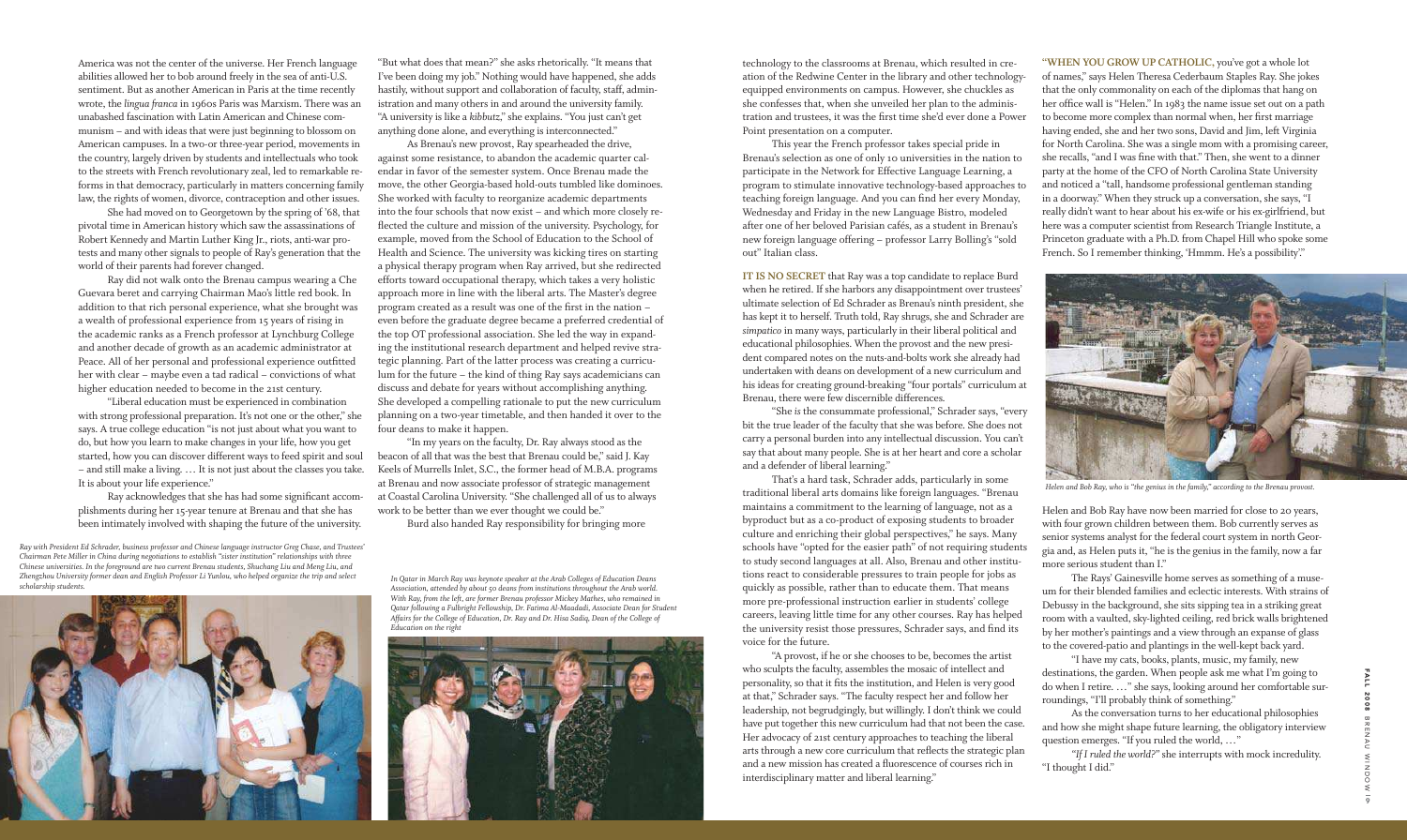America was not the center of the universe. Her French language abilities allowed her to bob around freely in the sea of anti-U.S. sentiment. But as another American in Paris at the time recently wrote, the *lingua franca* in 1960s Paris was Marxism. There was an unabashed fascination with Latin American and Chinese communism – and with ideas that were just beginning to blossom on American campuses. In a two-or three-year period, movements in the country, largely driven by students and intellectuals who took to the streets with French revolutionary zeal, led to remarkable reforms in that democracy, particularly in matters concerning family law, the rights of women, divorce, contraception and other issues.

 She had moved on to Georgetown by the spring of '68, that pivotal time in American history which saw the assassinations of Robert Kennedy and Martin Luther King Jr., riots, anti-war protests and many other signals to people of Ray's generation that the world of their parents had forever changed.

Ray acknowledges that she has had some significant accomplishments during her 15-year tenure at Brenau and that she has been intimately involved with shaping the future of the university.

 Ray did not walk onto the Brenau campus wearing a Che Guevara beret and carrying Chairman Mao's little red book. In addition to that rich personal experience, what she brought was a wealth of professional experience from 15 years of rising in the academic ranks as a French professor at Lynchburg College and another decade of growth as an academic administrator at Peace. All of her personal and professional experience outfitted her with clear – maybe even a tad radical – convictions of what higher education needed to become in the 21st century.

 "Liberal education must be experienced in combination with strong professional preparation. It's not one or the other," she says. A true college education "is not just about what you want to do, but how you learn to make changes in your life, how you get started, how you can discover different ways to feed spirit and soul – and still make a living. … It is not just about the classes you take. It is about your life experience."

"But what does that mean?" she asks rhetorically. "It means that I've been doing my job." Nothing would have happened, she adds hastily, without support and collaboration of faculty, staff, administration and many others in and around the university family. "A university is like a *kibbutz*," she explains. "You just can't get anything done alone, and everything is interconnected."

> **IT IS NO SECRET** that Ray was a top candidate to replace Burd when he retired. If she harbors any disappointment over trustees' ultimate selection of Ed Schrader as Brenau's ninth president, she has kept it to herself. Truth told, Ray shrugs, she and Schrader are *simpatico* in many ways, particularly in their liberal political and educational philosophies. When the provost and the new president compared notes on the nuts-and-bolts work she already had undertaken with deans on development of a new curriculum and his ideas for creating ground-breaking "four portals" curriculum at Brenau, there were few discernible differences.

 As Brenau's new provost, Ray spearheaded the drive, against some resistance, to abandon the academic quarter calendar in favor of the semester system. Once Brenau made the move, the other Georgia-based hold-outs tumbled like dominoes. She worked with faculty to reorganize academic departments into the four schools that now exist – and which more closely relected the culture and mission of the university. Psychology, for example, moved from the School of Education to the School of Health and Science. The university was kicking tires on starting a physical therapy program when Ray arrived, but she redirected efforts toward occupational therapy, which takes a very holistic approach more in line with the liberal arts. The Master's degree program created as a result was one of the first in the nation – even before the graduate degree became a preferred credential of the top OT professional association. She led the way in expanding the institutional research department and helped revive strategic planning. Part of the latter process was creating a curriculum for the future – the kind of thing Ray says academicians can discuss and debate for years without accomplishing anything. She developed a compelling rationale to put the new curriculum planning on a two-year timetable, and then handed it over to the four deans to make it happen.

 "In my years on the faculty, Dr. Ray always stood as the beacon of all that was the best that Brenau could be," said J. Kay Keels of Murrells Inlet, S.C., the former head of M.B.A. programs at Brenau and now associate professor of strategic management at Coastal Carolina University. "She challenged all of us to always work to be better than we ever thought we could be."

Burd also handed Ray responsibility for bringing more

technology to the classrooms at Brenau, which resulted in creation of the Redwine Center in the library and other technologyequipped environments on campus. However, she chuckles as she confesses that, when she unveiled her plan to the administration and trustees, it was the first time she'd ever done a Power Point presentation on a computer.

 This year the French professor takes special pride in Brenau's selection as one of only 10 universities in the nation to participate in the Network for Effective Language Learning, a program to stimulate innovative technology-based approaches to teaching foreign language. And you can find her every Monday, Wednesday and Friday in the new Language Bistro, modeled after one of her beloved Parisian cafés, as a student in Brenau's new foreign language offering – professor Larry Bolling's "sold out" Italian class.

 "She *is* the consummate professional," Schrader says, "every bit the true leader of the faculty that she was before. She does not carry a personal burden into any intellectual discussion. You can't say that about many people. She is at her heart and core a scholar and a defender of liberal learning."

 That's a hard task, Schrader adds, particularly in some traditional liberal arts domains like foreign languages. "Brenau maintains a commitment to the learning of language, not as a byproduct but as a co-product of exposing students to broader culture and enriching their global perspectives," he says. Many schools have "opted for the easier path" of not requiring students to study second languages at all. Also, Brenau and other institutions react to considerable pressures to train people for jobs as quickly as possible, rather than to educate them. That means more pre-professional instruction earlier in students' college careers, leaving little time for any other courses. Ray has helped the university resist those pressures, Schrader says, and find its voice for the future.

 "A provost, if he or she chooses to be, becomes the artist who sculpts the faculty, assembles the mosaic of intellect and personality, so that it fits the institution, and Helen is very good at that," Schrader says. "The faculty respect her and follow her leadership, not begrudgingly, but willingly. I don't think we could have put together this new curriculum had that not been the case. Her advocacy of 21st century approaches to teaching the liberal arts through a new core curriculum that relects the strategic plan and a new mission has created a fluorescence of courses rich in interdisciplinary matter and liberal learning."

**"when you grow up cAThoLic,** you've got a whole lot of names," says Helen Theresa Cederbaum Staples Ray. She jokes that the only commonality on each of the diplomas that hang on her ofice wall is "Helen." In 1983 the name issue set out on a path to become more complex than normal when, her first marriage having ended, she and her two sons, David and Jim, left Virginia for North Carolina. She was a single mom with a promising career, she recalls, "and I was fine with that." Then, she went to a dinner party at the home of the CFO of North Carolina State University and noticed a "tall, handsome professional gentleman standing in a doorway." When they struck up a conversation, she says, "I really didn't want to hear about his ex-wife or his ex-girlfriend, but here was a computer scientist from Research Triangle Institute, a Princeton graduate with a Ph.D. from Chapel Hill who spoke some French. So I remember thinking, 'Hmmm. He's a possibility'."

Helen and Bob Ray have now been married for close to 20 years, with four grown children between them. Bob currently serves as senior systems analyst for the federal court system in north Georgia and, as Helen puts it, "he is the genius in the family, now a far more serious student than I."

 The Rays' Gainesville home serves as something of a museum for their blended families and eclectic interests. With strains of Debussy in the background, she sits sipping tea in a striking great room with a vaulted, sky-lighted ceiling, red brick walls brightened by her mother's paintings and a view through an expanse of glass to the covered-patio and plantings in the well-kept back yard.

 "I have my cats, books, plants, music, my family, new destinations, the garden. When people ask me what I'm going to do when I retire. …" she says, looking around her comfortable surroundings, "I'll probably think of something."

 As the conversation turns to her educational philosophies and how she might shape future learning, the obligatory interview question emerges. "If you ruled the world, …"

*"If I ruled the world?"* she interrupts with mock incredulity. "I thought I did."

*In Qatar in March Ray was keynote speaker at the Arab Colleges of Education Deans Association, attended by about 50 deans from institutions throughout the Arab world. With Ray, from the left, are former Brenau professor Mickey Mathes, who remained in Qatar following a Fulbright Fellowship, Dr. Fatima Al-Maadadi, Associate Dean for Student Affairs for the College of Education, Dr. Ray and Dr. Hisa Sadiq, Dean of the College of Education on the right*





*Helen and Bob Ray, who is "the genius in the family," according to the Brenau provost.*

*Ray with President Ed Schrader, business professor and Chinese language instructor Greg Chase, and Trustees' Chairman Pete Miller in China during negotiations to establish "sister institution" relationships with three Chinese universities. In the foreground are two current Brenau students, Shuchang Liu and Meng Liu, and Zhengzhou University former dean and English Professor Li Yunlou, who helped organize the trip and select scholarship students.*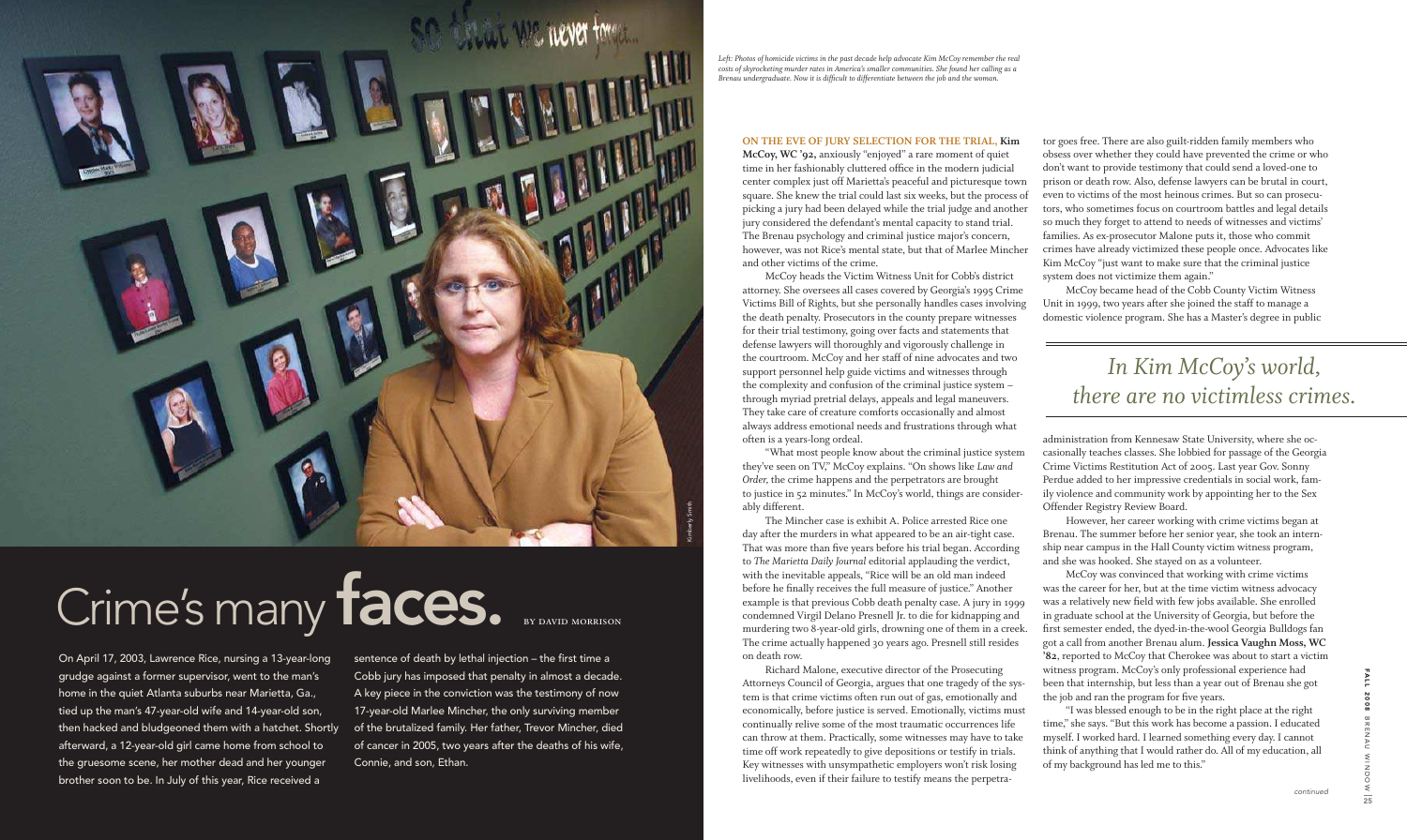#### **on The eve oF jury seLecTion For The TriAL, kim**

**mccoy, wc '92,** anxiously "enjoyed" a rare moment of quiet time in her fashionably cluttered ofice in the modern judicial center complex just off Marietta's peaceful and picturesque town square. She knew the trial could last six weeks, but the process of picking a jury had been delayed while the trial judge and another jury considered the defendant's mental capacity to stand trial. The Brenau psychology and criminal justice major's concern, however, was not Rice's mental state, but that of Marlee Mincher and other victims of the crime.

 McCoy heads the Victim Witness Unit for Cobb's district attorney. She oversees all cases covered by Georgia's 1995 Crime Victims Bill of Rights, but she personally handles cases involving the death penalty. Prosecutors in the county prepare witnesses for their trial testimony, going over facts and statements that defense lawyers will thoroughly and vigorously challenge in the courtroom. McCoy and her staff of nine advocates and two support personnel help guide victims and witnesses through the complexity and confusion of the criminal justice system – through myriad pretrial delays, appeals and legal maneuvers. They take care of creature comforts occasionally and almost always address emotional needs and frustrations through what often is a years-long ordeal.

 "What most people know about the criminal justice system they've seen on TV," McCoy explains. "On shows like *Law and Order,* the crime happens and the perpetrators are brought to justice in 52 minutes." In McCoy's world, things are considerably different.

 The Mincher case is exhibit A. Police arrested Rice one day after the murders in what appeared to be an air-tight case. That was more than five years before his trial began. According to *The Marietta Daily Journal* editorial applauding the verdict, with the inevitable appeals, "Rice will be an old man indeed before he finally receives the full measure of justice." Another example is that previous Cobb death penalty case. A jury in 1999 condemned Virgil Delano Presnell Jr. to die for kidnapping and murdering two 8-year-old girls, drowning one of them in a creek. The crime actually happened 30 years ago. Presnell still resides on death row.

 McCoy was convinced that working with crime victims was the career for her, but at the time victim witness advocacy was a relatively new field with few jobs available. She enrolled in graduate school at the University of Georgia, but before the first semester ended, the dyed-in-the-wool Georgia Bulldogs fan got a call from another Brenau alum. **jessica vaughn moss, wc '82**, reported to McCoy that Cherokee was about to start a victim witness program. McCoy's only professional experience had been that internship, but less than a year out of Brenau she got the job and ran the program for five years.

 Richard Malone, executive director of the Prosecuting Attorneys Council of Georgia, argues that one tragedy of the system is that crime victims often run out of gas, emotionally and economically, before justice is served. Emotionally, victims must continually relive some of the most traumatic occurrences life can throw at them. Practically, some witnesses may have to take time off work repeatedly to give depositions or testify in trials. Key witnesses with unsympathetic employers won't risk losing livelihoods, even if their failure to testify means the perpetra-

tor goes free. There are also guilt-ridden family members who obsess over whether they could have prevented the crime or who don't want to provide testimony that could send a loved-one to prison or death row. Also, defense lawyers can be brutal in court, even to victims of the most heinous crimes. But so can prosecutors, who sometimes focus on courtroom battles and legal details so much they forget to attend to needs of witnesses and victims' families. As ex-prosecutor Malone puts it, those who commit crimes have already victimized these people once. Advocates like Kim McCoy "just want to make sure that the criminal justice system does not victimize them again."

 McCoy became head of the Cobb County Victim Witness Unit in 1999, two years after she joined the staff to manage a domestic violence program. She has a Master's degree in public

administration from Kennesaw State University, where she occasionally teaches classes. She lobbied for passage of the Georgia Crime Victims Restitution Act of 2005. Last year Gov. Sonny Perdue added to her impressive credentials in social work, family violence and community work by appointing her to the Sex Offender Registry Review Board.

 However, her career working with crime victims began at Brenau. The summer before her senior year, she took an internship near campus in the Hall County victim witness program, and she was hooked. She stayed on as a volunteer.

 "I was blessed enough to be in the right place at the right time," she says. "But this work has become a passion. I educated myself. I worked hard. I learned something every day. I cannot think of anything that I would rather do. All of my education, all of my background has led me to this."

# *In Kim McCoy's world, there are no victimless crimes.*

*Left: Photos of homicide victims in the past decade help advocate Kim McCoy remember the real costs of skyrocketing murder rates in America's smaller communities. She found her calling as a Brenau undergraduate. Now it is dificult to differentiate between the job and the woman.*



# Crime's many faces.

On April 17, 2003, Lawrence Rice, nursing a 13-year-long grudge against a former supervisor, went to the man's home in the quiet Atlanta suburbs near Marietta, Ga., tied up the man's 47-year-old wife and 14-year-old son, then hacked and bludgeoned them with a hatchet. Shortly afterward, a 12-year-old girl came home from school to the gruesome scene, her mother dead and her younger brother soon to be. In July of this year, Rice received a

sentence of death by lethal injection – the first time a Cobb jury has imposed that penalty in almost a decade. A key piece in the conviction was the testimony of now 17-year-old Marlee Mincher, the only surviving member of the brutalized family. Her father, Trevor Mincher, died of cancer in 2005, two years after the deaths of his wife, Connie, and son, Ethan.

by David Morrison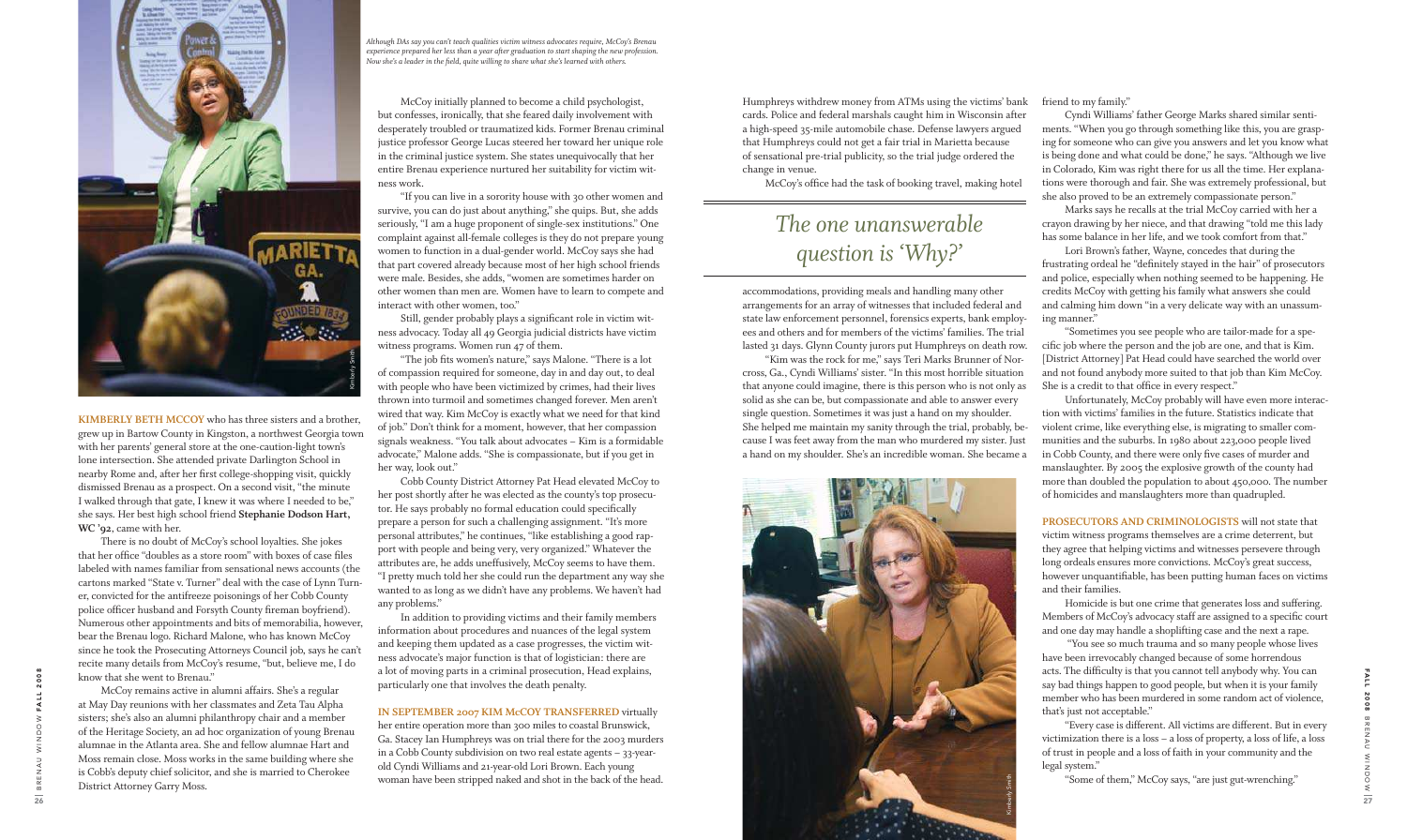**kimberLy beTh mccoy** who has three sisters and a brother, grew up in Bartow County in Kingston, a northwest Georgia town with her parents' general store at the one-caution-light town's lone intersection. She attended private Darlington School in nearby Rome and, after her first college-shopping visit, quickly dismissed Brenau as a prospect. On a second visit, "the minute I walked through that gate, I knew it was where I needed to be," she says. Her best high school friend Stephanie Dodson Hart, **wc '92**, came with her.

 There is no doubt of McCoy's school loyalties. She jokes that her office "doubles as a store room" with boxes of case files labeled with names familiar from sensational news accounts (the cartons marked "State v. Turner" deal with the case of Lynn Turner, convicted for the antifreeze poisonings of her Cobb County police officer husband and Forsyth County fireman boyfriend). Numerous other appointments and bits of memorabilia, however, bear the Brenau logo. Richard Malone, who has known McCoy since he took the Prosecuting Attorneys Council job, says he can't recite many details from McCoy's resume, "but, believe me, I do know that she went to Brenau."

Still, gender probably plays a significant role in victim witness advocacy. Today all 49 Georgia judicial districts have victim witness programs. Women run 47 of them.

 McCoy remains active in alumni affairs. She's a regular at May Day reunions with her classmates and Zeta Tau Alpha sisters; she's also an alumni philanthropy chair and a member of the Heritage Society, an ad hoc organization of young Brenau alumnae in the Atlanta area. She and fellow alumnae Hart and Moss remain close. Moss works in the same building where she is Cobb's deputy chief solicitor, and she is married to Cherokee District Attorney Garry Moss.

"The job fits women's nature," says Malone. "There is a lot of compassion required for someone, day in and day out, to deal with people who have been victimized by crimes, had their lives thrown into turmoil and sometimes changed forever. Men aren't wired that way. Kim McCoy is exactly what we need for that kind of job." Don't think for a moment, however, that her compassion signals weakness. "You talk about advocates – Kim is a formidable advocate," Malone adds. "She is compassionate, but if you get in her way, look out."

 McCoy initially planned to become a child psychologist, but confesses, ironically, that she feared daily involvement with desperately troubled or traumatized kids. Former Brenau criminal justice professor George Lucas steered her toward her unique role in the criminal justice system. She states unequivocally that her entire Brenau experience nurtured her suitability for victim witness work.

 "If you can live in a sorority house with 30 other women and survive, you can do just about anything," she quips. But, she adds seriously, "I am a huge proponent of single-sex institutions." One complaint against all-female colleges is they do not prepare young women to function in a dual-gender world. McCoy says she had that part covered already because most of her high school friends were male. Besides, she adds, "women are sometimes harder on other women than men are. Women have to learn to compete and interact with other women, too."

 Cobb County District Attorney Pat Head elevated McCoy to her post shortly after he was elected as the county's top prosecutor. He says probably no formal education could specifically prepare a person for such a challenging assignment. "It's more personal attributes," he continues, "like establishing a good rapport with people and being very, very organized." Whatever the attributes are, he adds uneffusively, McCoy seems to have them. "I pretty much told her she could run the department any way she wanted to as long as we didn't have any problems. We haven't had any problems."

PROSECUTORS AND CRIMINOLOGISTS will not state that victim witness programs themselves are a crime deterrent, but they agree that helping victims and witnesses persevere through long ordeals ensures more convictions. McCoy's great success, however unquantifiable, has been putting human faces on victims and their families.

 In addition to providing victims and their family members information about procedures and nuances of the legal system and keeping them updated as a case progresses, the victim witness advocate's major function is that of logistician: there are a lot of moving parts in a criminal prosecution, Head explains, particularly one that involves the death penalty.

#### **in sepTember 2007 kim mccoy TrAnsFerred** virtually

her entire operation more than 300 miles to coastal Brunswick, Ga. Stacey Ian Humphreys was on trial there for the 2003 murders in a Cobb County subdivision on two real estate agents – 33-yearold Cyndi Williams and 21-year-old Lori Brown. Each young woman have been stripped naked and shot in the back of the head.

Humphreys withdrew money from ATMs using the victims' bank cards. Police and federal marshals caught him in Wisconsin after a high-speed 35-mile automobile chase. Defense lawyers argued that Humphreys could not get a fair trial in Marietta because of sensational pre-trial publicity, so the trial judge ordered the change in venue.

McCoy's ofice had the task of booking travel, making hotel

friend to my family."

 Cyndi Williams' father George Marks shared similar sentiments. "When you go through something like this, you are grasping for someone who can give you answers and let you know what is being done and what could be done," he says. "Although we live in Colorado, Kim was right there for us all the time. Her explanations were thorough and fair. She was extremely professional, but she also proved to be an extremely compassionate person."

accommodations, providing meals and handling many other arrangements for an array of witnesses that included federal and state law enforcement personnel, forensics experts, bank employees and others and for members of the victims' families. The trial lasted 31 days. Glynn County jurors put Humphreys on death row. "Kim was the rock for me," says Teri Marks Brunner of Norcross, Ga., Cyndi Williams' sister. "In this most horrible situation that anyone could imagine, there is this person who is not only as solid as she can be, but compassionate and able to answer every single question. Sometimes it was just a hand on my shoulder. She helped me maintain my sanity through the trial, probably, because I was feet away from the man who murdered my sister. Just a hand on my shoulder. She's an incredible woman. She became a and calming him down "in a very delicate way with an unassuming manner." "Sometimes you see people who are tailor-made for a speciic job where the person and the job are one, and that is Kim. [District Attorney] Pat Head could have searched the world over and not found anybody more suited to that job than Kim McCoy. She is a credit to that ofice in every respect." Unfortunately, McCoy probably will have even more interaction with victims' families in the future. Statistics indicate that violent crime, like everything else, is migrating to smaller communities and the suburbs. In 1980 about 223,000 people lived in Cobb County, and there were only five cases of murder and manslaughter. By 2005 the explosive growth of the county had more than doubled the population to about 450,000. The number of homicides and manslaughters more than quadrupled.



 Marks says he recalls at the trial McCoy carried with her a crayon drawing by her niece, and that drawing "told me this lady has some balance in her life, and we took comfort from that."

 Lori Brown's father, Wayne, concedes that during the frustrating ordeal he "definitely stayed in the hair" of prosecutors and police, especially when nothing seemed to be happening. He credits McCoy with getting his family what answers she could

 Homicide is but one crime that generates loss and suffering. Members of McCoy's advocacy staff are assigned to a specific court and one day may handle a shoplifting case and the next a rape.

 "You see so much trauma and so many people whose lives have been irrevocably changed because of some horrendous acts. The dificulty is that you cannot tell anybody why. You can say bad things happen to good people, but when it is your family member who has been murdered in some random act of violence, that's just not acceptable."

 "Every case is different. All victims are different. But in every victimization there is a loss – a loss of property, a loss of life, a loss of trust in people and a loss of faith in your community and the legal system."

"Some of them," McCoy says, "are just gut-wrenching."

## *The one unanswerable question is 'Why?'*

*Although DAs say you can't teach qualities victim witness advocates require, McCoy's Brenau experience prepared her less than a year after graduation to start shaping the new profession. Now she's a leader in the ield, quite willing to share what she's learned with others.* 



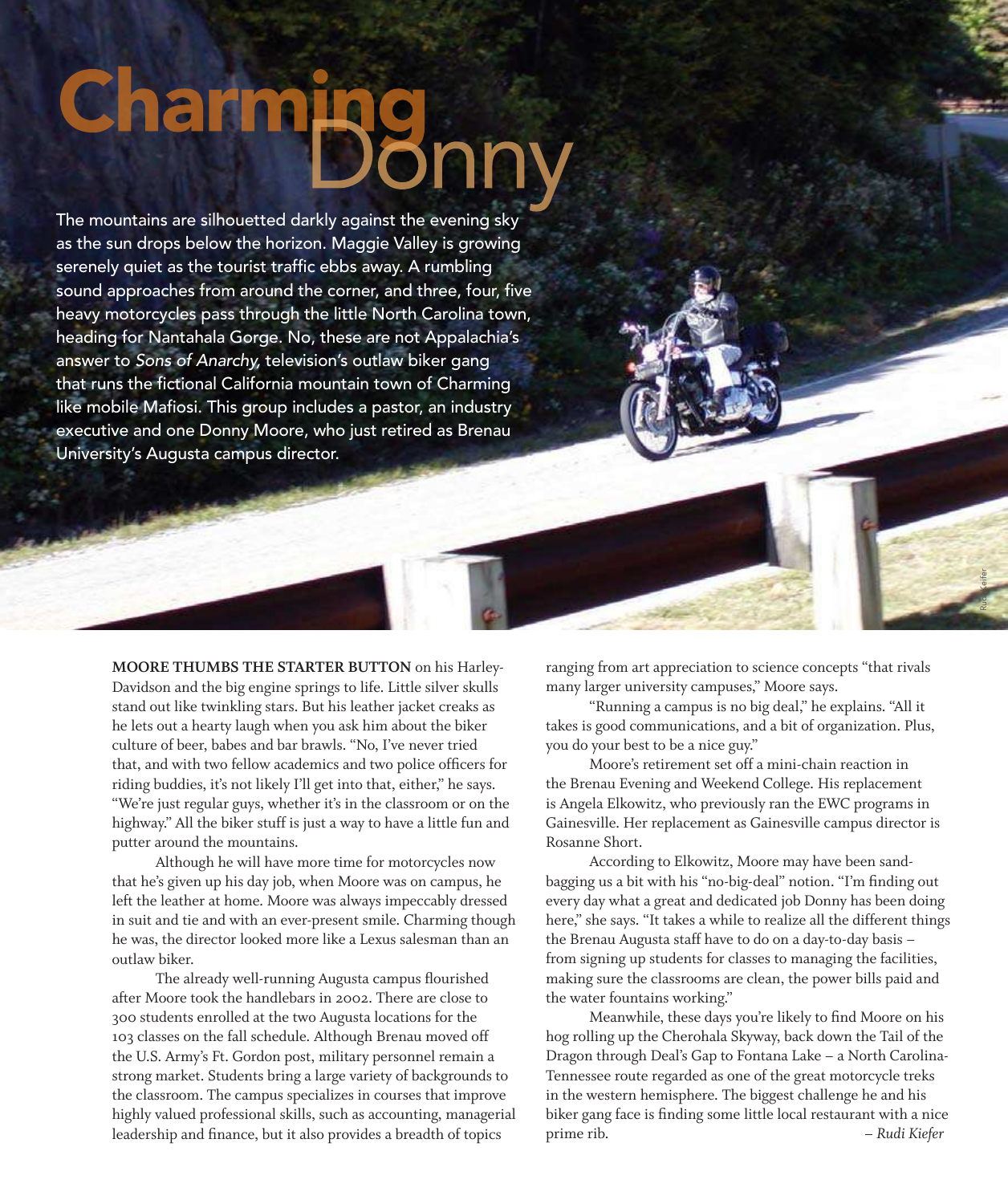# Charmpg

The mountains are silhouetted darkly against the evening sky as the sun drops below the horizon. Maggie Valley is growing serenely quiet as the tourist traffic ebbs away. A rumbling sound approaches from around the corner, and three, four, five heavy motorcycles pass through the little North Carolina town, heading for Nantahala Gorge. No, these are not Appalachia's answer to Sons of Anarchy, television's outlaw biker gang that runs the fictional California mountain town of Charming like mobile Mafiosi. This group includes a pastor, an industry executive and one Donny Moore, who just retired as Brenau University's Augusta campus director.

> **moore Thumbs The sTArTer buTTon** on his Harley-Davidson and the big engine springs to life. Little silver skulls stand out like twinkling stars. But his leather jacket creaks as he lets out a hearty laugh when you ask him about the biker culture of beer, babes and bar brawls. "No, I've never tried that, and with two fellow academics and two police oficers for riding buddies, it's not likely I'll get into that, either," he says. "We're just regular guys, whether it's in the classroom or on the highway." All the biker stuff is just a way to have a little fun and putter around the mountains.

 Although he will have more time for motorcycles now that he's given up his day job, when Moore was on campus, he left the leather at home. Moore was always impeccably dressed in suit and tie and with an ever-present smile. Charming though he was, the director looked more like a Lexus salesman than an outlaw biker.

The already well-running Augusta campus flourished after Moore took the handlebars in 2002. There are close to 300 students enrolled at the two Augusta locations for the 103 classes on the fall schedule. Although Brenau moved off the U.S. Army's Ft. Gordon post, military personnel remain a strong market. Students bring a large variety of backgrounds to the classroom. The campus specializes in courses that improve highly valued professional skills, such as accounting, managerial leadership and finance, but it also provides a breadth of topics

ranging from art appreciation to science concepts "that rivals many larger university campuses," Moore says.

Rudi Keifer

 "Running a campus is no big deal," he explains. "All it takes is good communications, and a bit of organization. Plus, you do your best to be a nice guy."

 Moore's retirement set off a mini-chain reaction in the Brenau Evening and Weekend College. His replacement is Angela Elkowitz, who previously ran the EWC programs in Gainesville. Her replacement as Gainesville campus director is Rosanne Short.

 According to Elkowitz, Moore may have been sandbagging us a bit with his "no-big-deal" notion. "I'm finding out every day what a great and dedicated job Donny has been doing here," she says. "It takes a while to realize all the different things the Brenau Augusta staff have to do on a day-to-day basis – from signing up students for classes to managing the facilities, making sure the classrooms are clean, the power bills paid and the water fountains working."

Meanwhile, these days you're likely to find Moore on his hog rolling up the Cherohala Skyway, back down the Tail of the Dragon through Deal's Gap to Fontana Lake – a North Carolina-Tennessee route regarded as one of the great motorcycle treks in the western hemisphere. The biggest challenge he and his biker gang face is finding some little local restaurant with a nice prime rib. *– Rudi Kiefer*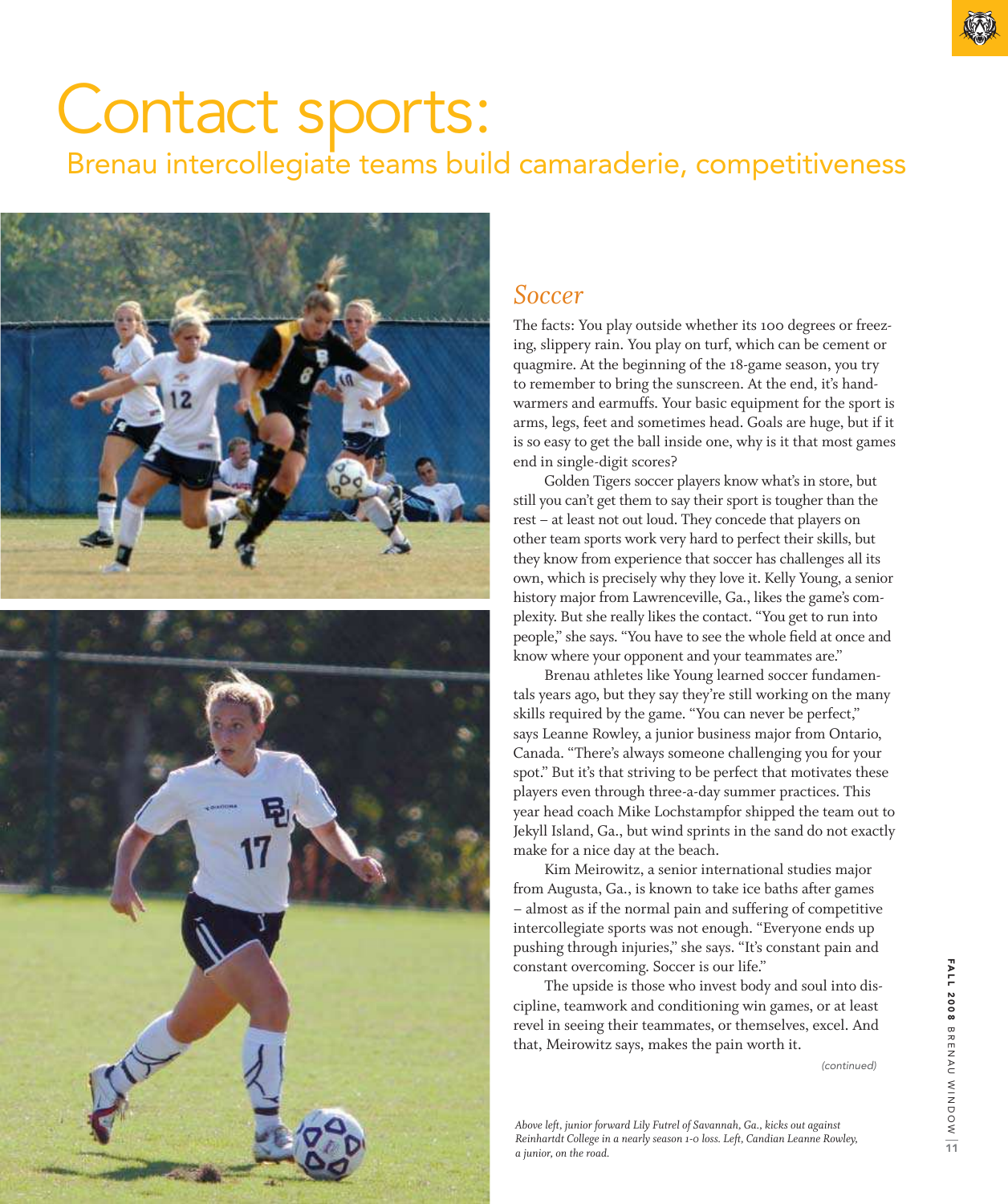# Contact sports:

Brenau intercollegiate teams build camaraderie, competitiveness



### *Soccer*

The facts: You play outside whether its 100 degrees or freezing, slippery rain. You play on turf, which can be cement or quagmire. At the beginning of the 18-game season, you try to remember to bring the sunscreen. At the end, it's handwarmers and earmuffs. Your basic equipment for the sport is arms, legs, feet and sometimes head. Goals are huge, but if it is so easy to get the ball inside one, why is it that most games end in single-digit scores?

 Golden Tigers soccer players know what's in store, but still you can't get them to say their sport is tougher than the rest – at least not out loud. They concede that players on other team sports work very hard to perfect their skills, but they know from experience that soccer has challenges all its own, which is precisely why they love it. Kelly Young, a senior history major from Lawrenceville, Ga., likes the game's complexity. But she really likes the contact. "You get to run into people," she says. "You have to see the whole field at once and know where your opponent and your teammates are."

 Brenau athletes like Young learned soccer fundamentals years ago, but they say they're still working on the many skills required by the game. "You can never be perfect," says Leanne Rowley, a junior business major from Ontario, Canada. "There's always someone challenging you for your spot." But it's that striving to be perfect that motivates these players even through three-a-day summer practices. This year head coach Mike Lochstampfor shipped the team out to Jekyll Island, Ga., but wind sprints in the sand do not exactly make for a nice day at the beach.

 Kim Meirowitz, a senior international studies major from Augusta, Ga., is known to take ice baths after games – almost as if the normal pain and suffering of competitive intercollegiate sports was not enough. "Everyone ends up pushing through injuries," she says. "It's constant pain and constant overcoming. Soccer is our life."

 The upside is those who invest body and soul into discipline, teamwork and conditioning win games, or at least revel in seeing their teammates, or themselves, excel. And that, Meirowitz says, makes the pain worth it.

(continued)

*Above left, junior forward Lily Futrel of Savannah, Ga., kicks out against Reinhartdt College in a nearly season 1-0 loss. Left, Candian Leanne Rowley, a junior, on the road.*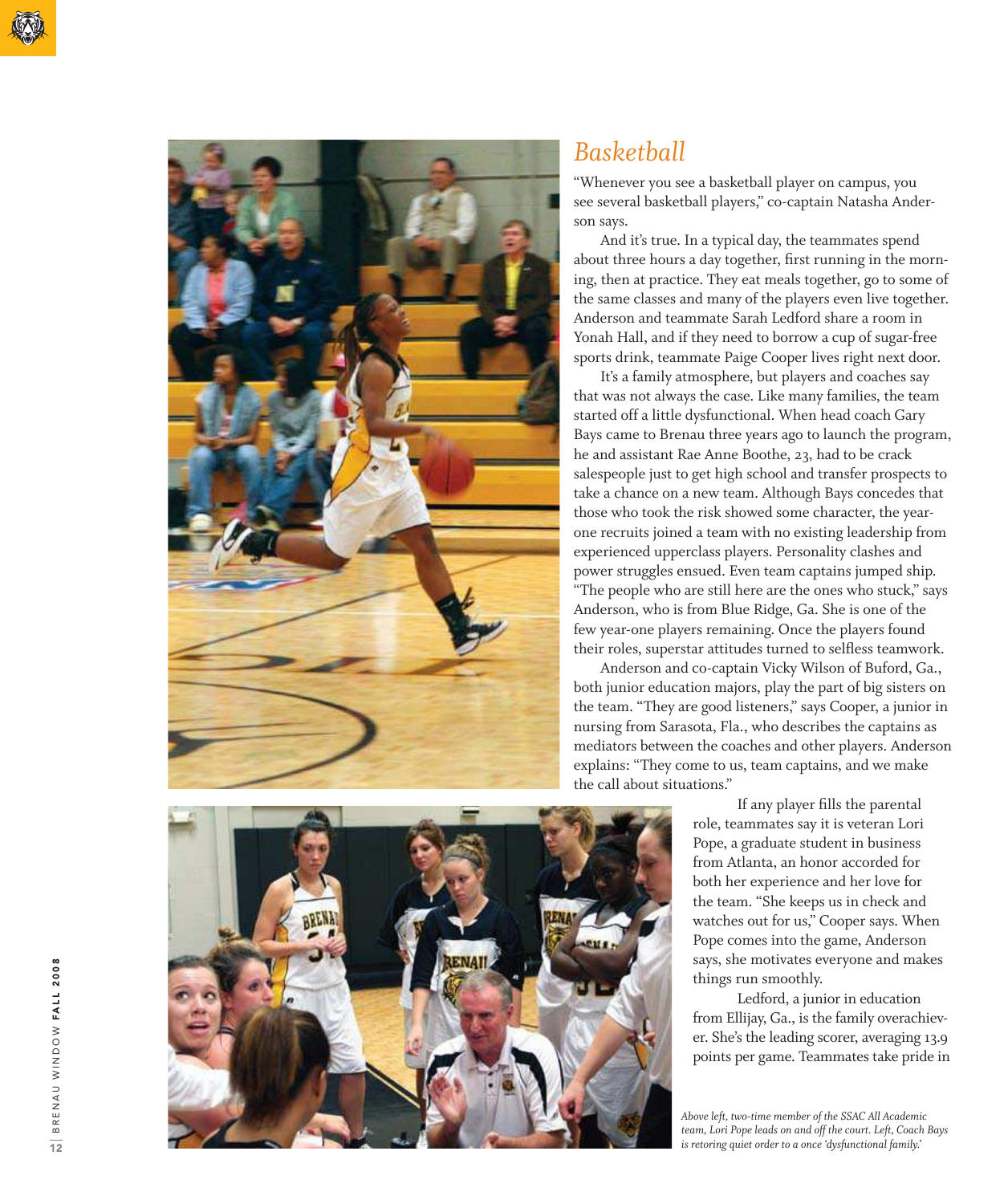

### *Basketball*

"Whenever you see a basketball player on campus, you see several basketball players," co-captain Natasha Anderson says.

 And it's true. In a typical day, the teammates spend about three hours a day together, first running in the morning, then at practice. They eat meals together, go to some of the same classes and many of the players even live together. Anderson and teammate Sarah Ledford share a room in Yonah Hall, and if they need to borrow a cup of sugar-free sports drink, teammate Paige Cooper lives right next door.

 It's a family atmosphere, but players and coaches say that was not always the case. Like many families, the team started off a little dysfunctional. When head coach Gary Bays came to Brenau three years ago to launch the program, he and assistant Rae Anne Boothe, 23, had to be crack salespeople just to get high school and transfer prospects to take a chance on a new team. Although Bays concedes that those who took the risk showed some character, the yearone recruits joined a team with no existing leadership from experienced upperclass players. Personality clashes and power struggles ensued. Even team captains jumped ship. "The people who are still here are the ones who stuck," says Anderson, who is from Blue Ridge, Ga. She is one of the few year-one players remaining. Once the players found their roles, superstar attitudes turned to selless teamwork.

 Anderson and co-captain Vicky Wilson of Buford, Ga., both junior education majors, play the part of big sisters on the team. "They are good listeners," says Cooper, a junior in nursing from Sarasota, Fla., who describes the captains as mediators between the coaches and other players. Anderson explains: "They come to us, team captains, and we make the call about situations."

> If any player fills the parental role, teammates say it is veteran Lori Pope, a graduate student in business from Atlanta, an honor accorded for both her experience and her love for the team. "She keeps us in check and watches out for us," Cooper says. When Pope comes into the game, Anderson says, she motivates everyone and makes things run smoothly.

 Ledford, a junior in education from Ellijay, Ga., is the family overachiev er. She's the leading scorer, averaging 13.9 points per game. Teammates take pride in

*Above left, two-time member of the SSAC All Academic team, Lori Pope leads on and off the court. Left, Coach Bays is retoring quiet order to a once 'dysfunctional family.'*

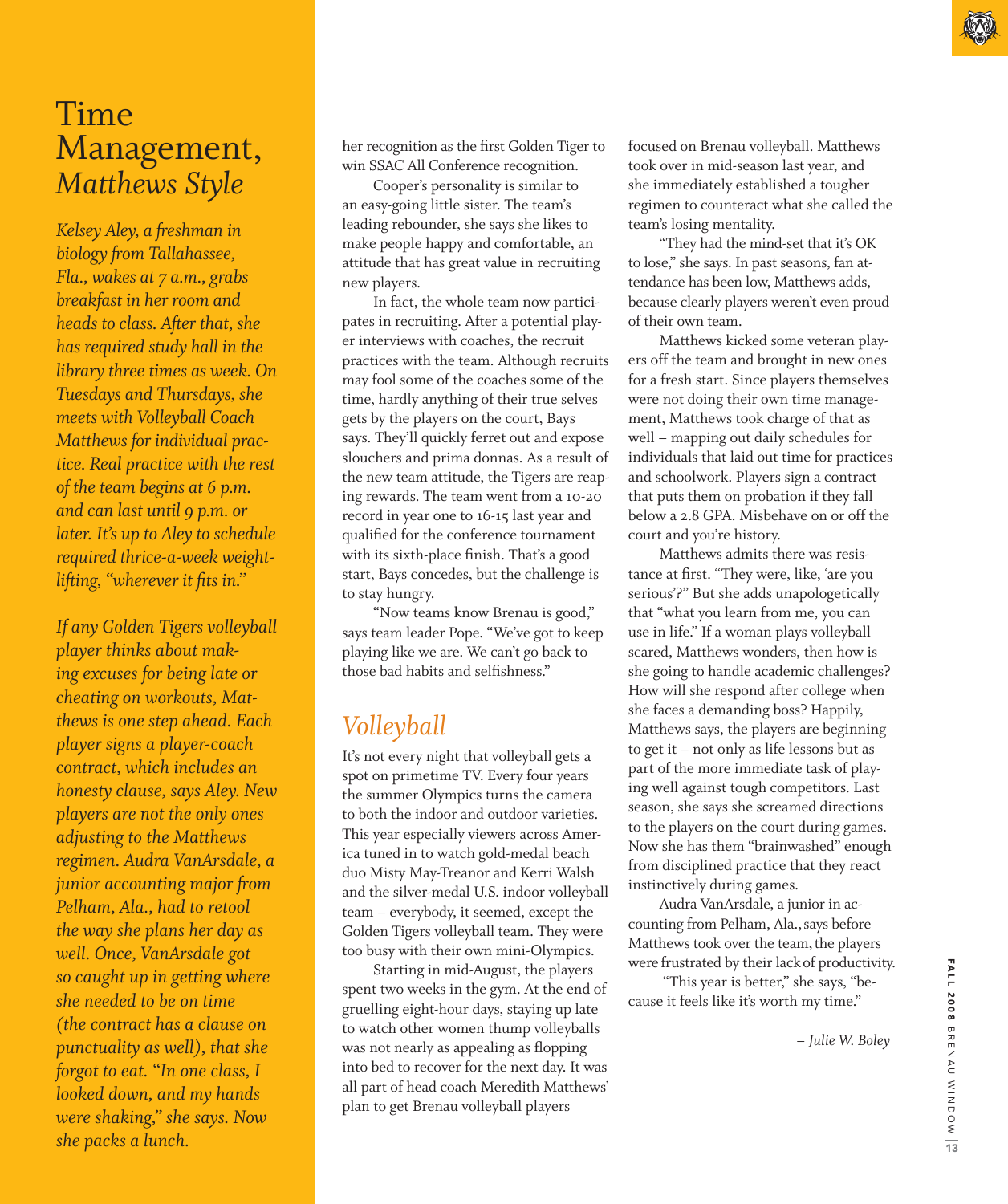*Kelsey Aley, a freshman in biology from Tallahassee, Fla., wakes at 7 a.m., grabs breakfast in her room and heads to class. After that, she has required study hall in the library three times as week. On Tuesdays and Thursdays, she meets with Volleyball Coach Matthews for individual practice. Real practice with the rest of the team begins at 6 p.m. and can last until 9 p.m. or later. It's up to Aley to schedule required thrice-a-week weightlifting, "wherever it fits in."* 

*If any Golden Tigers volleyball player thinks about making excuses for being late or cheating on workouts, Matthews is one step ahead. Each player signs a player-coach contract, which includes an honesty clause, says Aley. New players are not the only ones adjusting to the Matthews regimen. Audra VanArsdale, a junior accounting major from Pelham, Ala., had to retool the way she plans her day as well. Once, VanArsdale got so caught up in getting where she needed to be on time (the contract has a clause on punctuality as well), that she forgot to eat. "In one class, I looked down, and my hands were shaking," she says. Now she packs a lunch.*

her recognition as the first Golden Tiger to win SSAC All Conference recognition.

 Cooper's personality is similar to an easy-going little sister. The team's leading rebounder, she says she likes to make people happy and comfortable, an attitude that has great value in recruiting new players.

 In fact, the whole team now participates in recruiting. After a potential player interviews with coaches, the recruit practices with the team. Although recruits may fool some of the coaches some of the time, hardly anything of their true selves gets by the players on the court, Bays says. They'll quickly ferret out and expose slouchers and prima donnas. As a result of the new team attitude, the Tigers are reaping rewards. The team went from a 10-20 record in year one to 16-15 last year and qualified for the conference tournament with its sixth-place finish. That's a good start, Bays concedes, but the challenge is to stay hungry.

 "Now teams know Brenau is good," says team leader Pope. "We've got to keep playing like we are. We can't go back to those bad habits and selfishness."

### *Volleyball*

It's not every night that volleyball gets a spot on primetime TV. Every four years the summer Olympics turns the camera to both the indoor and outdoor varieties. This year especially viewers across America tuned in to watch gold-medal beach duo Misty May-Treanor and Kerri Walsh and the silver-medal U.S. indoor volleyball team – everybody, it seemed, except the Golden Tigers volleyball team. They were too busy with their own mini-Olympics.

 Starting in mid-August, the players spent two weeks in the gym. At the end of gruelling eight-hour days, staying up late to watch other women thump volleyballs was not nearly as appealing as flopping into bed to recover for the next day. It was all part of head coach Meredith Matthews' plan to get Brenau volleyball players

focused on Brenau volleyball. Matthews took over in mid-season last year, and she immediately established a tougher regimen to counteract what she called the team's losing mentality.

 "They had the mind-set that it's OK to lose," she says. In past seasons, fan attendance has been low, Matthews adds, because clearly players weren't even proud of their own team.

 Matthews kicked some veteran players off the team and brought in new ones for a fresh start. Since players themselves were not doing their own time management, Matthews took charge of that as well – mapping out daily schedules for individuals that laid out time for practices and schoolwork. Players sign a contract that puts them on probation if they fall below a 2.8 GPA. Misbehave on or off the court and you're history.

 Matthews admits there was resistance at first. "They were, like, 'are you serious'?" But she adds unapologetically that "what you learn from me, you can use in life." If a woman plays volleyball scared, Matthews wonders, then how is she going to handle academic challenges? How will she respond after college when she faces a demanding boss? Happily, Matthews says, the players are beginning to get it – not only as life lessons but as part of the more immediate task of playing well against tough competitors. Last season, she says she screamed directions to the players on the court during games. Now she has them "brainwashed" enough from disciplined practice that they react instinctively during games.

 Audra VanArsdale, a junior in accounting from Pelham, Ala., says before Matthews took over the team, the players were frustrated by their lack of productivity.

 "This year is better," she says, "because it feels like it's worth my time."

 *– Julie W. Boley*